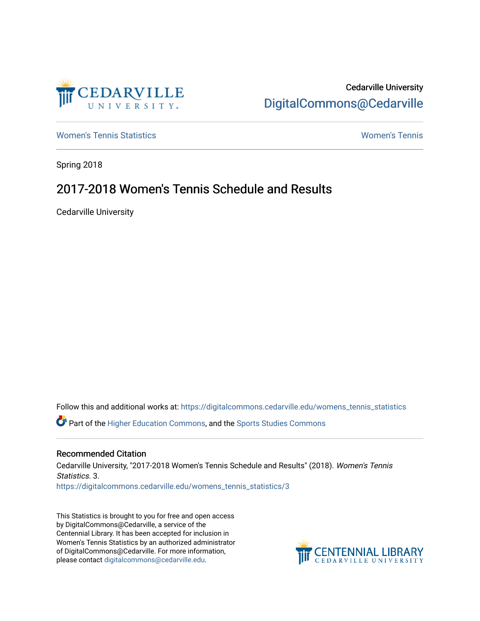

# Cedarville University [DigitalCommons@Cedarville](https://digitalcommons.cedarville.edu/)

[Women's Tennis Statistics](https://digitalcommons.cedarville.edu/womens_tennis_statistics) [Women's Tennis](https://digitalcommons.cedarville.edu/womens_tennis) 

Spring 2018

# 2017-2018 Women's Tennis Schedule and Results

Cedarville University

Follow this and additional works at: [https://digitalcommons.cedarville.edu/womens\\_tennis\\_statistics](https://digitalcommons.cedarville.edu/womens_tennis_statistics?utm_source=digitalcommons.cedarville.edu%2Fwomens_tennis_statistics%2F3&utm_medium=PDF&utm_campaign=PDFCoverPages)  Part of the [Higher Education Commons,](http://network.bepress.com/hgg/discipline/1245?utm_source=digitalcommons.cedarville.edu%2Fwomens_tennis_statistics%2F3&utm_medium=PDF&utm_campaign=PDFCoverPages) and the [Sports Studies Commons](http://network.bepress.com/hgg/discipline/1198?utm_source=digitalcommons.cedarville.edu%2Fwomens_tennis_statistics%2F3&utm_medium=PDF&utm_campaign=PDFCoverPages) 

### Recommended Citation

Cedarville University, "2017-2018 Women's Tennis Schedule and Results" (2018). Women's Tennis Statistics. 3. [https://digitalcommons.cedarville.edu/womens\\_tennis\\_statistics/3](https://digitalcommons.cedarville.edu/womens_tennis_statistics/3?utm_source=digitalcommons.cedarville.edu%2Fwomens_tennis_statistics%2F3&utm_medium=PDF&utm_campaign=PDFCoverPages)

This Statistics is brought to you for free and open access by DigitalCommons@Cedarville, a service of the Centennial Library. It has been accepted for inclusion in Women's Tennis Statistics by an authorized administrator of DigitalCommons@Cedarville. For more information, please contact [digitalcommons@cedarville.edu](mailto:digitalcommons@cedarville.edu).